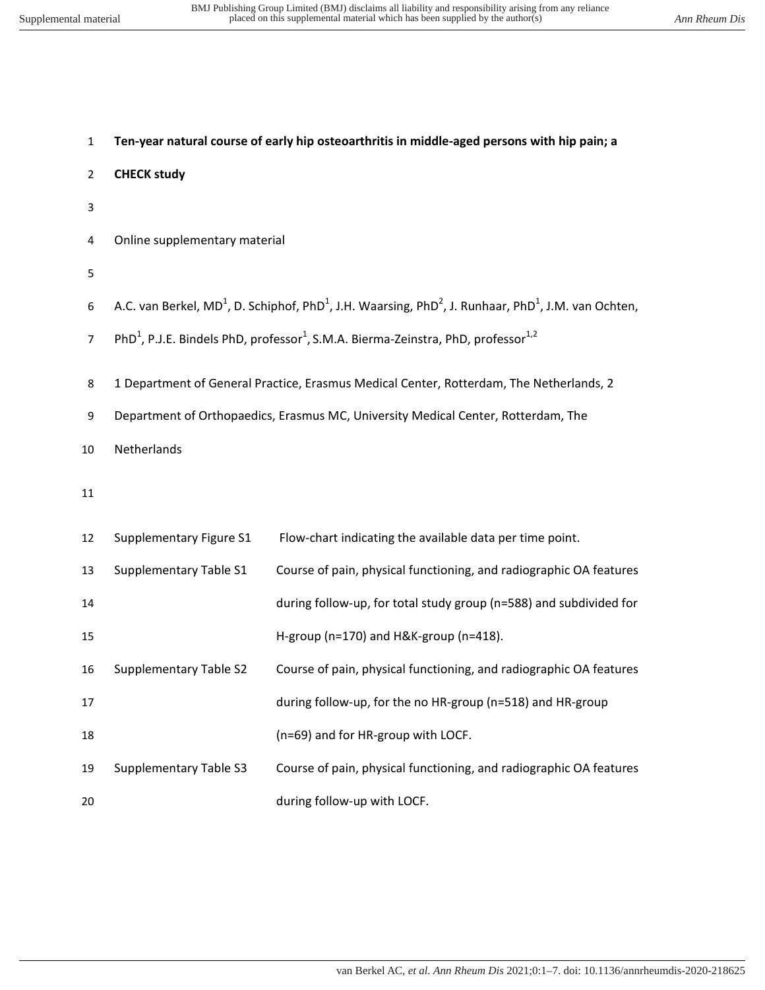| $\mathbf{1}$   | Ten-year natural course of early hip osteoarthritis in middle-aged persons with hip pain; a                           |                                                                                                                                                      |  |  |  |  |  |
|----------------|-----------------------------------------------------------------------------------------------------------------------|------------------------------------------------------------------------------------------------------------------------------------------------------|--|--|--|--|--|
| $\overline{2}$ | <b>CHECK study</b>                                                                                                    |                                                                                                                                                      |  |  |  |  |  |
| 3              |                                                                                                                       |                                                                                                                                                      |  |  |  |  |  |
| 4              | Online supplementary material                                                                                         |                                                                                                                                                      |  |  |  |  |  |
| 5              |                                                                                                                       |                                                                                                                                                      |  |  |  |  |  |
| 6              |                                                                                                                       | A.C. van Berkel, MD <sup>1</sup> , D. Schiphof, PhD <sup>1</sup> , J.H. Waarsing, PhD <sup>2</sup> , J. Runhaar, PhD <sup>1</sup> , J.M. van Ochten, |  |  |  |  |  |
| $\overline{7}$ | PhD <sup>1</sup> , P.J.E. Bindels PhD, professor <sup>1</sup> , S.M.A. Bierma-Zeinstra, PhD, professor <sup>1,2</sup> |                                                                                                                                                      |  |  |  |  |  |
| 8              |                                                                                                                       | 1 Department of General Practice, Erasmus Medical Center, Rotterdam, The Netherlands, 2                                                              |  |  |  |  |  |
| 9              | Department of Orthopaedics, Erasmus MC, University Medical Center, Rotterdam, The                                     |                                                                                                                                                      |  |  |  |  |  |
| 10             | Netherlands                                                                                                           |                                                                                                                                                      |  |  |  |  |  |
| 11             |                                                                                                                       |                                                                                                                                                      |  |  |  |  |  |
| 12             | Supplementary Figure S1                                                                                               | Flow-chart indicating the available data per time point.                                                                                             |  |  |  |  |  |
| 13             | Supplementary Table S1                                                                                                | Course of pain, physical functioning, and radiographic OA features                                                                                   |  |  |  |  |  |
| 14             |                                                                                                                       | during follow-up, for total study group (n=588) and subdivided for                                                                                   |  |  |  |  |  |
| 15             |                                                                                                                       | H-group (n=170) and H&K-group (n=418).                                                                                                               |  |  |  |  |  |
| 16             | <b>Supplementary Table S2</b>                                                                                         | Course of pain, physical functioning, and radiographic OA features                                                                                   |  |  |  |  |  |
| 17             |                                                                                                                       | during follow-up, for the no HR-group (n=518) and HR-group                                                                                           |  |  |  |  |  |
| 18             |                                                                                                                       | (n=69) and for HR-group with LOCF.                                                                                                                   |  |  |  |  |  |
| 19             | <b>Supplementary Table S3</b>                                                                                         | Course of pain, physical functioning, and radiographic OA features                                                                                   |  |  |  |  |  |
| 20             |                                                                                                                       | during follow-up with LOCF.                                                                                                                          |  |  |  |  |  |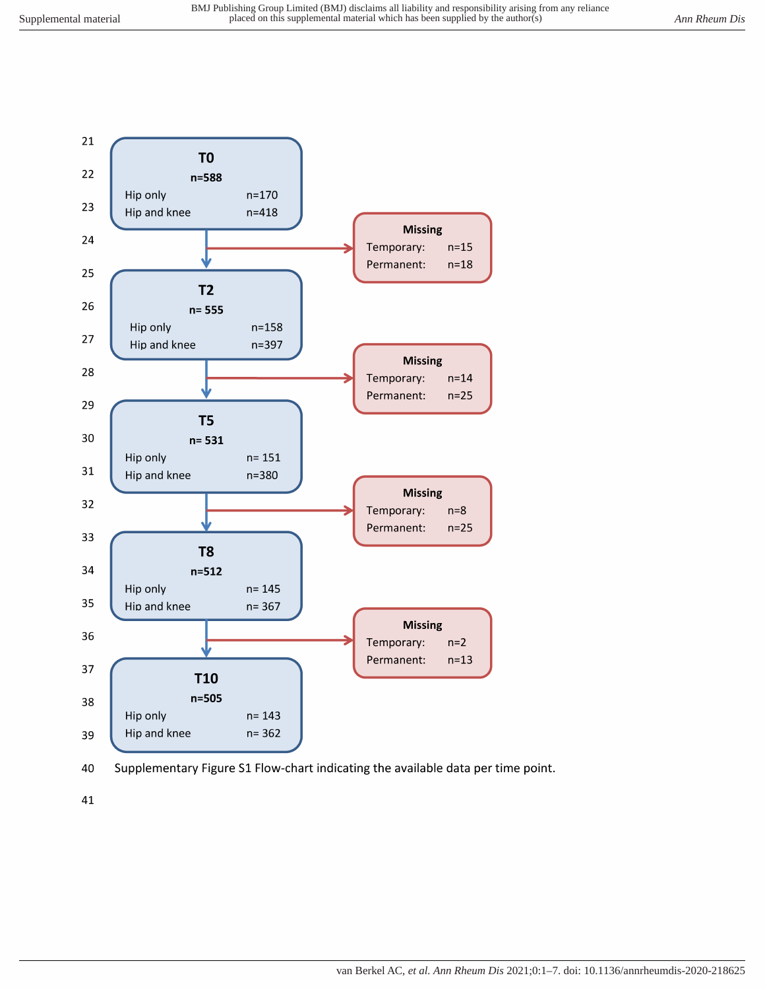



41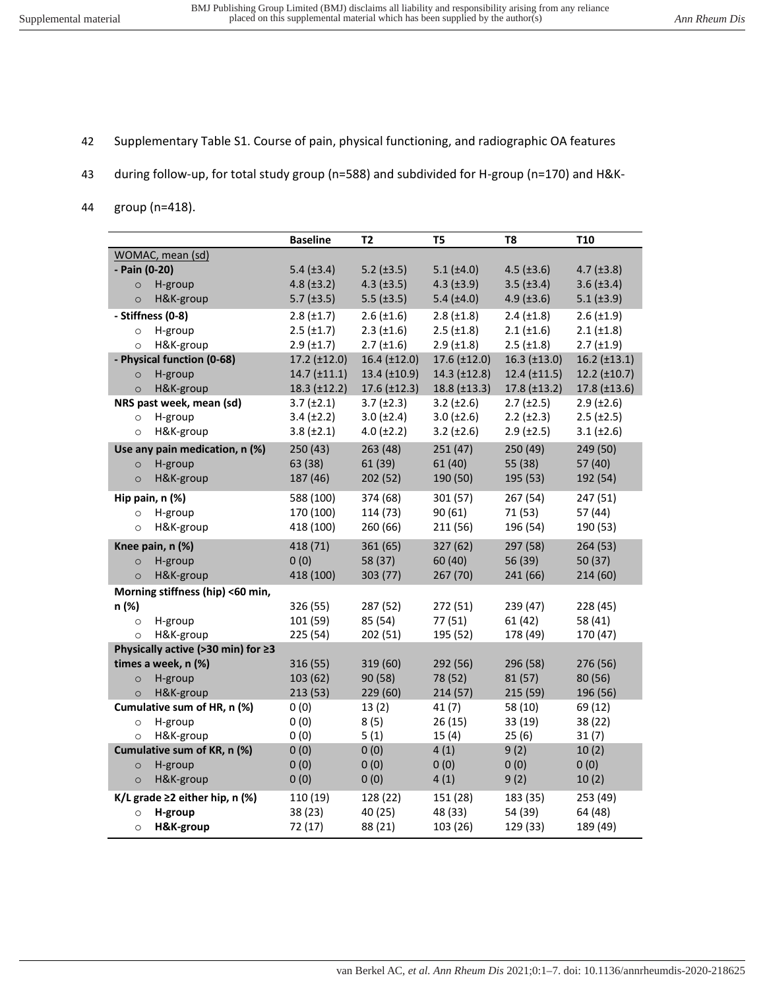- 42 Supplementary Table S1. Course of pain, physical functioning, and radiographic OA features
- 43 during follow-up, for total study group (n=588) and subdivided for H-group (n=170) and H&K-
- 44 group (n=418).

|                                      | <b>Baseline</b>      | <b>T2</b>           | T <sub>5</sub>      | T <sub>8</sub>       | <b>T10</b>          |
|--------------------------------------|----------------------|---------------------|---------------------|----------------------|---------------------|
| WOMAC, mean (sd)                     |                      |                     |                     |                      |                     |
| - Pain (0-20)                        | $5.4$ ( $\pm 3.4$ )  | $5.2$ ( $\pm 3.5$ ) | $5.1$ ( $\pm 4.0$ ) | $4.5$ ( $\pm 3.6$ )  | $4.7 (\pm 3.8)$     |
| H-group<br>$\circ$                   | $4.8 (\pm 3.2)$      | $4.3$ ( $\pm 3.5$ ) | $4.3 \ (\pm 3.9)$   | $3.5$ ( $\pm 3.4$ )  | $3.6 (\pm 3.4)$     |
| H&K-group<br>$\circ$                 | $5.7$ ( $\pm 3.5$ )  | $5.5$ ( $\pm 3.5$ ) | 5.4 $(\pm 4.0)$     | $4.9$ ( $\pm 3.6$ )  | $5.1 (\pm 3.9)$     |
| - Stiffness (0-8)                    | $2.8 (\pm 1.7)$      | $2.6 \ (\pm 1.6)$   | $2.8 (\pm 1.8)$     | $2.4$ ( $\pm 1.8$ )  | $2.6 (\pm 1.9)$     |
| H-group<br>$\circ$                   | $2.5$ ( $\pm$ 1.7)   | $2.3$ ( $\pm 1.6$ ) | $2.5$ ( $\pm 1.8$ ) | $2.1 (\pm 1.6)$      | $2.1 (\pm 1.8)$     |
| H&K-group<br>$\circ$                 | $2.9$ ( $\pm$ 1.7)   | $2.7$ ( $\pm 1.6$ ) | $2.9$ ( $\pm 1.8$ ) | $2.5$ ( $\pm 1.8$ )  | $2.7$ ( $\pm$ 1.9)  |
| - Physical function (0-68)           | $17.2$ ( $\pm$ 12.0) | $16.4 (\pm 12.0)$   | $17.6 \ (\pm 12.0)$ | $16.3$ (±13.0)       | $16.2 (\pm 13.1)$   |
| H-group<br>$\circ$                   | 14.7 (±11.1)         | $13.4 \ (\pm 10.9)$ | $14.3$ (±12.8)      | $12.4$ ( $\pm$ 11.5) | $12.2 \ (\pm 10.7)$ |
| H&K-group<br>$\circ$                 | $18.3$ ( $\pm$ 12.2) | $17.6 \ (\pm 12.3)$ | $18.8 \ (\pm 13.3)$ | $17.8 \ (\pm 13.2)$  | $17.8 (\pm 13.6)$   |
| NRS past week, mean (sd)             | $3.7 (\pm 2.1)$      | $3.7 (\pm 2.3)$     | $3.2 \ (\pm 2.6)$   | $2.7 (\pm 2.5)$      | $2.9$ ( $\pm 2.6$ ) |
| H-group<br>$\circ$                   | $3.4 (\pm 2.2)$      | $3.0 (\pm 2.4)$     | $3.0 (\pm 2.6)$     | $2.2 (\pm 2.3)$      | $2.5$ ( $\pm 2.5$ ) |
| H&K-group<br>$\circ$                 | $3.8 (\pm 2.1)$      | $4.0 (\pm 2.2)$     | $3.2 \ (\pm 2.6)$   | $2.9$ ( $\pm 2.5$ )  | $3.1 (\pm 2.6)$     |
| Use any pain medication, n (%)       | 250 (43)             | 263 (48)            | 251(47)             | 250 (49)             | 249 (50)            |
| H-group<br>$\circ$                   | 63 (38)              | 61 (39)             | 61(40)              | 55 (38)              | 57 (40)             |
| H&K-group<br>$\circ$                 | 187 (46)             | 202 (52)            | 190 (50)            | 195 (53)             | 192 (54)            |
| Hip pain, n (%)                      | 588 (100)            | 374 (68)            | 301 (57)            | 267 (54)             | 247 (51)            |
| H-group<br>$\circ$                   | 170 (100)            | 114 (73)            | 90(61)              | 71 (53)              | 57 (44)             |
| H&K-group<br>$\circ$                 | 418 (100)            | 260 (66)            | 211 (56)            | 196 (54)             | 190 (53)            |
| Knee pain, n (%)                     | 418 (71)             | 361 (65)            | 327 (62)            | 297 (58)             | 264 (53)            |
| H-group<br>$\circ$                   | 0(0)                 | 58 (37)             | 60(40)              | 56 (39)              | 50 (37)             |
| H&K-group<br>$\circ$                 | 418 (100)            | 303 (77)            | 267 (70)            | 241 (66)             | 214 (60)            |
| Morning stiffness (hip) <60 min,     |                      |                     |                     |                      |                     |
| n (%)                                | 326 (55)             | 287 (52)            | 272 (51)            | 239 (47)             | 228 (45)            |
| H-group<br>$\circ$                   | 101 (59)             | 85 (54)             | 77 (51)             | 61(42)               | 58 (41)             |
| H&K-group<br>$\circ$                 | 225 (54)             | 202 (51)            | 195 (52)            | 178 (49)             | 170 (47)            |
| Physically active (>30 min) for ≥3   |                      |                     |                     |                      |                     |
| times a week, n (%)                  | 316 (55)             | 319 (60)            | 292 (56)            | 296 (58)             | 276 (56)            |
| H-group<br>$\circ$                   | 103 (62)             | 90 (58)             | 78 (52)             | 81(57)               | 80 (56)             |
| H&K-group<br>$\circ$                 | 213 (53)             | 229 (60)            | 214(57)             | 215 (59)             | 196 (56)            |
| Cumulative sum of HR, n (%)          | 0(0)                 | 13(2)               | 41(7)               | 58 (10)              | 69 (12)             |
| H-group<br>$\circ$                   | 0(0)                 | 8(5)                | 26(15)              | 33 (19)              | 38 (22)             |
| H&K-group<br>$\circ$                 | 0(0)                 | 5(1)                | 15(4)               | 25(6)                | 31(7)               |
| Cumulative sum of KR, n (%)          | 0(0)                 | 0(0)                | 4(1)                | 9(2)                 | 10(2)               |
| H-group<br>$\circ$                   | 0(0)                 | 0(0)                | 0(0)                | 0(0)                 | 0(0)                |
| H&K-group<br>$\circ$                 | 0(0)                 | 0(0)                | 4(1)                | 9(2)                 | 10(2)               |
| K/L grade $\geq$ 2 either hip, n (%) | 110 (19)             | 128 (22)            | 151 (28)            | 183 (35)             | 253 (49)            |
| H-group<br>$\circ$                   | 38 (23)              | 40 (25)             | 48 (33)             | 54 (39)              | 64 (48)             |
| H&K-group<br>$\circ$                 | 72 (17)              | 88 (21)             | 103 (26)            | 129 (33)             | 189 (49)            |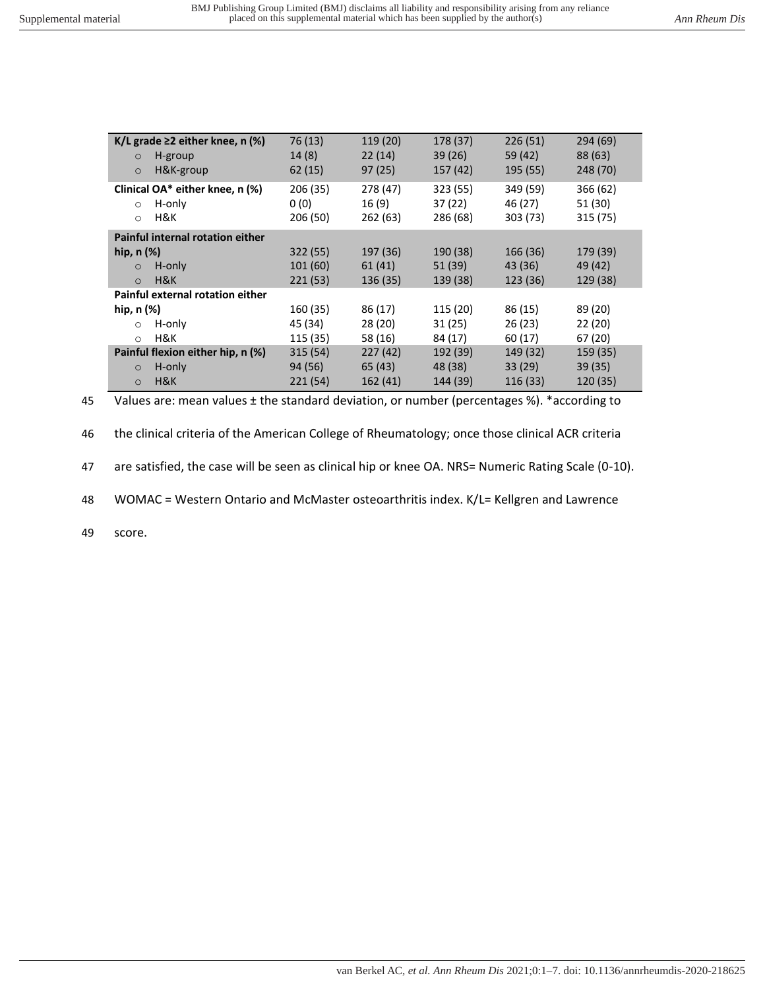| K/L grade $\geq$ 2 either knee, n (%)<br>H-group<br>$\circ$<br>H&K-group<br>$\circ$ | 76 (13)<br>14(8)<br>62(15)   | 119 (20)<br>22(14)<br>97(25) | 178 (37)<br>39(26)<br>157 (42) | 226(51)<br>59 (42)<br>195 (55)  | 294(69)<br>88 (63)<br>248 (70)  |
|-------------------------------------------------------------------------------------|------------------------------|------------------------------|--------------------------------|---------------------------------|---------------------------------|
| Clinical OA* either knee, n (%)<br>H-only<br>$\Omega$<br>H&K<br>$\circ$             | 206 (35)<br>0(0)<br>206 (50) | 278 (47)<br>16(9)<br>262(63) | 323 (55)<br>37(22)<br>286 (68) | 349 (59)<br>46 (27)<br>303 (73) | 366 (62)<br>51 (30)<br>315 (75) |
| Painful internal rotation either                                                    |                              |                              |                                |                                 |                                 |
| hip, $n$ $(\%)$                                                                     | 322(55)                      | 197 (36)                     | 190 (38)                       | 166 (36)                        | 179 (39)                        |
| H-only<br>$\circ$                                                                   | 101(60)                      | 61(41)                       | 51 (39)                        | 43 (36)                         | 49 (42)                         |
| H&K<br>$\Omega$                                                                     | 221(53)                      | 136(35)                      | 139 (38)                       | 123 (36)                        | 129 (38)                        |
| Painful external rotation either                                                    |                              |                              |                                |                                 |                                 |
| hip, $n$ $(\%)$                                                                     | 160 (35)                     | 86 (17)                      | 115 (20)                       | 86 (15)                         | 89 (20)                         |
| H-only<br>$\circ$                                                                   | 45 (34)                      | 28(20)                       | 31(25)                         | 26(23)                          | 22 (20)                         |
| H&K<br>$\circ$                                                                      | 115 (35)                     | 58 (16)                      | 84 (17)                        | 60(17)                          | 67 (20)                         |
| Painful flexion either hip, n (%)                                                   | 315(54)                      | 227(42)                      | 192 (39)                       | 149 (32)                        | 159 (35)                        |
| H-only<br>$\circ$                                                                   | 94 (56)                      | 65(43)                       | 48 (38)                        | 33 (29)                         | 39(35)                          |
| H&K<br>$\circ$                                                                      | 221 (54)                     | 162(41)                      | 144 (39)                       | 116 (33)                        | 120 (35)                        |

45 Values are: mean values ± the standard deviation, or number (percentages %). \*according to

46 the clinical criteria of the American College of Rheumatology; once those clinical ACR criteria

47 are satisfied, the case will be seen as clinical hip or knee OA. NRS= Numeric Rating Scale (0-10).

48 WOMAC = Western Ontario and McMaster osteoarthritis index. K/L= Kellgren and Lawrence

49 score.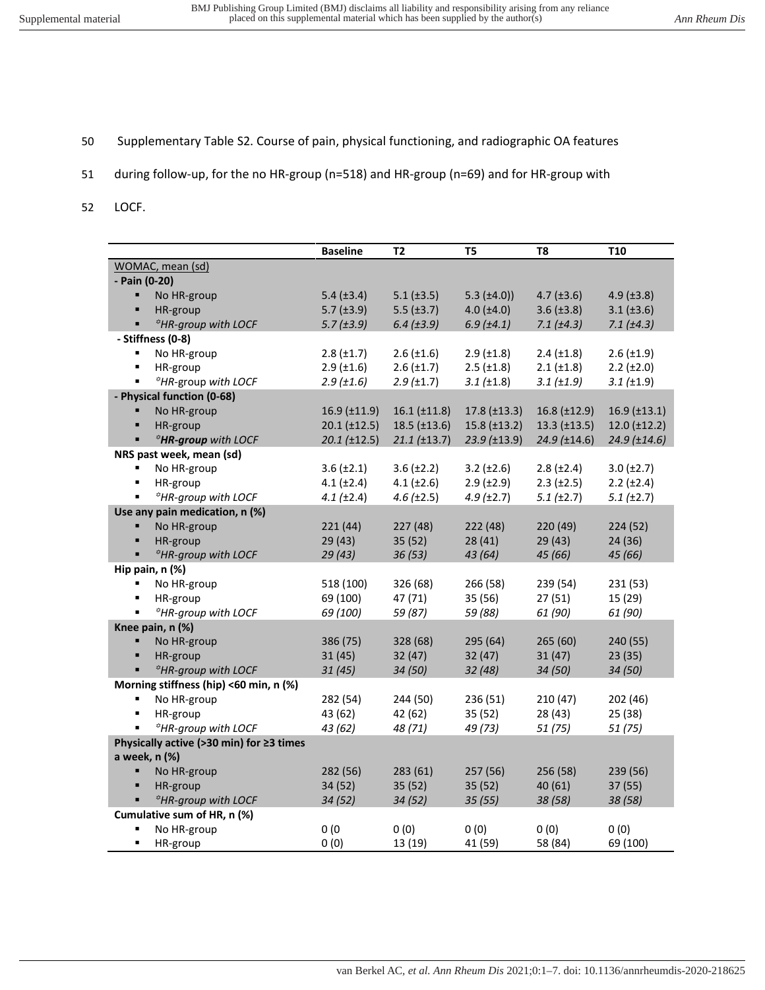- 50 Supplementary Table S2. Course of pain, physical functioning, and radiographic OA features
- 51 during follow-up, for the no HR-group (n=518) and HR-group (n=69) and for HR-group with
- 52 LOCF.

|                                          |                                        | <b>Baseline</b>      | T2                   | T5                   | T <sub>8</sub>      | <b>T10</b>           |  |
|------------------------------------------|----------------------------------------|----------------------|----------------------|----------------------|---------------------|----------------------|--|
|                                          | WOMAC, mean (sd)                       |                      |                      |                      |                     |                      |  |
| - Pain (0-20)                            |                                        |                      |                      |                      |                     |                      |  |
| ٠                                        | No HR-group                            | 5.4 $(\pm 3.4)$      | $5.1$ ( $\pm 3.5$ )  | $5.3 \ (\pm 4.0)$    | $4.7 \ (\pm 3.6)$   | $4.9$ ( $\pm 3.8$ )  |  |
| ٠                                        | HR-group                               | $5.7$ ( $\pm 3.9$ )  | $5.5$ ( $\pm 3.7$ )  | $4.0 (\pm 4.0)$      | $3.6 (\pm 3.8)$     | $3.1 (\pm 3.6)$      |  |
| ٠                                        | <sup>*</sup> HR-group with LOCF        | $5.7$ ( $\pm 3.9$ )  | $6.4$ ( $\pm 3.9$ )  | 6.9(±4.1)            | $7.1 (\pm 4.3)$     | 7.1 (±4.3)           |  |
|                                          | - Stiffness (0-8)                      |                      |                      |                      |                     |                      |  |
| ٠                                        | No HR-group                            | $2.8 \ (\pm 1.7)$    | $2.6 \, (\pm 1.6)$   | $2.9$ ( $\pm 1.8$ )  | $2.4 \ (\pm 1.8)$   | $2.6 \ (\pm 1.9)$    |  |
| ٠                                        | HR-group                               | $2.9$ ( $\pm 1.6$ )  | $2.6 \, (\pm 1.7)$   | $2.5$ ( $\pm 1.8$ )  | $2.1 (\pm 1.8)$     | $2.2 (\pm 2.0)$      |  |
| ٠                                        | <sup>#</sup> HR-group with LOCF        | 2.9(±1.6)            | 2.9(±1.7)            | $3.1 (\pm 1.8)$      | $3.1 (\pm 1.9)$     | 3.1 (±1.9)           |  |
|                                          | - Physical function (0-68)             |                      |                      |                      |                     |                      |  |
| ٠                                        | No HR-group                            | $16.9$ ( $\pm$ 11.9) | $16.1 (\pm 11.8)$    | $17.8 \ (\pm 13.3)$  | $16.8 \ (\pm 12.9)$ | $16.9$ ( $\pm$ 13.1) |  |
| ٠                                        | HR-group                               | $20.1 (\pm 12.5)$    | $18.5 \, (\pm 13.6)$ | $15.8 \, (\pm 13.2)$ | $13.3 \ (\pm 13.5)$ | $12.0 \ (\pm 12.2)$  |  |
|                                          | *HR-group with LOCF                    | $20.1$ ( $\pm$ 12.5) | 21.1 (±13.7)         | $23.9$ (±13.9)       | $24.9$ (±14.6)      | $24.9$ (±14.6)       |  |
|                                          | NRS past week, mean (sd)               |                      |                      |                      |                     |                      |  |
| ٠                                        | No HR-group                            | $3.6 \ (\pm 2.1)$    | $3.6 (\pm 2.2)$      | $3.2 \ (\pm 2.6)$    | $2.8 (\pm 2.4)$     | $3.0 (\pm 2.7)$      |  |
| ٠                                        | HR-group                               | $4.1 (\pm 2.4)$      | $4.1 (\pm 2.6)$      | $2.9$ ( $\pm 2.9$ )  | $2.3$ ( $\pm 2.5$ ) | $2.2 (\pm 2.4)$      |  |
| ٠                                        | *HR-group with LOCF                    | 4.1 (±2.4)           | $4.6 \, (\pm 2.5)$   | 4.9(±2.7)            | 5.1 (±2.7)          | $5.1$ ( $\pm 2.7$ )  |  |
|                                          | Use any pain medication, n (%)         |                      |                      |                      |                     |                      |  |
| ٠                                        | No HR-group                            | 221(44)              | 227(48)              | 222 (48)             | 220(49)             | 224 (52)             |  |
| ٠                                        | HR-group                               | 29(43)               | 35(52)               | 28(41)               | 29(43)              | 24 (36)              |  |
| ٠                                        | *HR-group with LOCF                    | 29(43)               | 36(53)               | 43 (64)              | 45 (66)             | 45 (66)              |  |
|                                          | Hip pain, n (%)                        |                      |                      |                      |                     |                      |  |
| ٠                                        | No HR-group                            | 518 (100)            | 326 (68)             | 266 (58)             | 239 (54)            | 231 (53)             |  |
| ٠                                        | HR-group                               | 69 (100)             | 47 (71)              | 35 (56)              | 27(51)              | 15 (29)              |  |
| ٠                                        | <sup>*</sup> HR-group with LOCF        | 69 (100)             | 59 (87)              | 59 (88)              | 61 (90)             | 61 (90)              |  |
|                                          | Knee pain, n (%)                       |                      |                      |                      |                     |                      |  |
| ٠                                        | No HR-group                            | 386 (75)             | 328 (68)             | 295 (64)             | 265(60)             | 240 (55)             |  |
| ٠                                        | HR-group                               | 31(45)               | 32(47)               | 32(47)               | 31(47)              | 23(35)               |  |
| ٠.                                       | <sup>*</sup> HR-group with LOCF        | 31(45)               | 34(50)               | 32(48)               | 34 (50)             | 34 (50)              |  |
|                                          | Morning stiffness (hip) <60 min, n (%) |                      |                      |                      |                     |                      |  |
| ٠                                        | No HR-group                            | 282 (54)             | 244 (50)             | 236 (51)             | 210(47)             | 202 (46)             |  |
| ٠                                        | HR-group                               | 43 (62)              | 42 (62)              | 35(52)               | 28(43)              | 25 (38)              |  |
| ٠                                        | <sup>*</sup> HR-group with LOCF        | 43 (62)              | 48 (71)              | 49 (73)              | 51 (75)             | 51 (75)              |  |
| Physically active (>30 min) for ≥3 times |                                        |                      |                      |                      |                     |                      |  |
|                                          | a week, n (%)                          |                      |                      |                      |                     |                      |  |
| ٠                                        | No HR-group                            | 282 (56)             | 283 (61)             | 257 (56)             | 256 (58)            | 239 (56)             |  |
| ٠                                        | HR-group                               | 34 (52)              | 35(52)               | 35(52)               | 40(61)              | 37 (55)              |  |
| ٠                                        | *HR-group with LOCF                    | 34(52)               | 34(52)               | 35(55)               | 38 (58)             | 38 (58)              |  |
|                                          | Cumulative sum of HR, n (%)            |                      |                      |                      |                     |                      |  |
| ٠                                        | No HR-group                            | 0(0)                 | 0(0)                 | 0(0)                 | 0(0)                | 0(0)                 |  |
| ٠                                        | HR-group                               | 0(0)                 | 13 (19)              | 41 (59)              | 58 (84)             | 69 (100)             |  |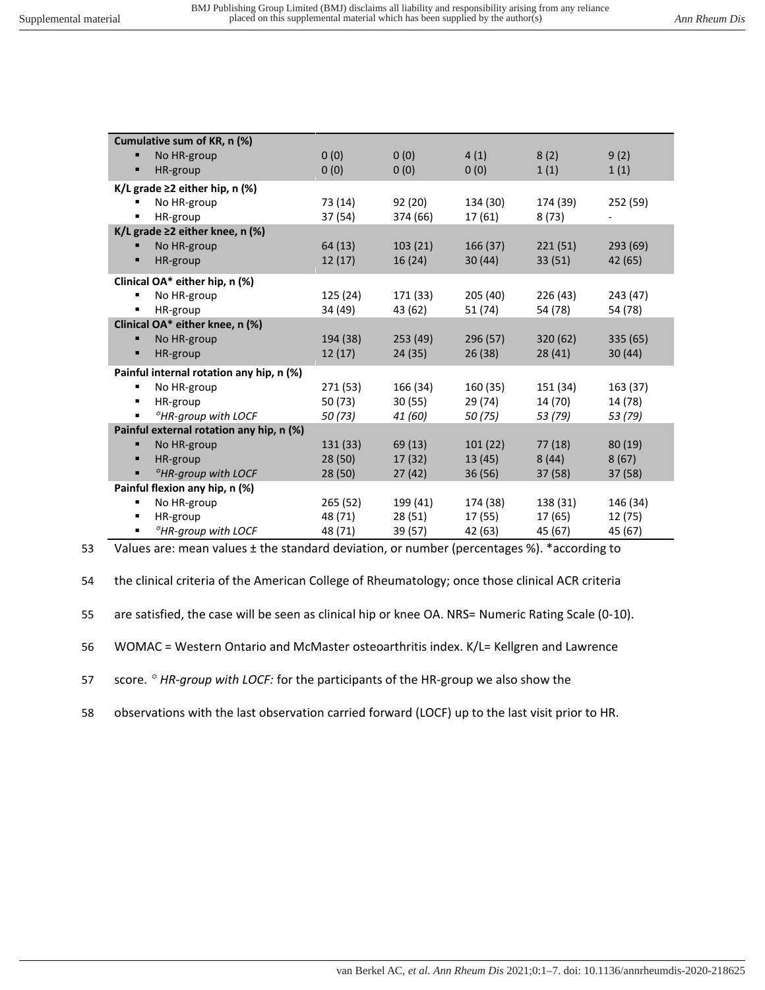| Cumulative sum of KR, n (%)          |                                          |          |          |          |          |          |  |  |  |
|--------------------------------------|------------------------------------------|----------|----------|----------|----------|----------|--|--|--|
| п                                    | No HR-group                              | 0(0)     | 0(0)     | 4(1)     | 8(2)     | 9(2)     |  |  |  |
| п                                    | HR-group                                 | 0(0)     | 0(0)     | 0(0)     | 1(1)     | 1(1)     |  |  |  |
| K/L grade $\geq$ 2 either hip, n (%) |                                          |          |          |          |          |          |  |  |  |
| ٠                                    | No HR-group                              | 73 (14)  | 92(20)   | 134 (30) | 174 (39) | 252 (59) |  |  |  |
|                                      | HR-group                                 | 37 (54)  | 374 (66) | 17 (61)  | 8(73)    |          |  |  |  |
|                                      | K/L grade $\geq$ 2 either knee, n (%)    |          |          |          |          |          |  |  |  |
| п                                    | No HR-group                              | 64 (13)  | 103(21)  | 166(37)  | 221(51)  | 293(69)  |  |  |  |
| п                                    | HR-group                                 | 12(17)   | 16(24)   | 30(44)   | 33(51)   | 42 (65)  |  |  |  |
|                                      | Clinical OA* either hip, n (%)           |          |          |          |          |          |  |  |  |
| ٠                                    | No HR-group                              | 125 (24) | 171 (33) | 205 (40) | 226 (43) | 243 (47) |  |  |  |
| ٠                                    | HR-group                                 | 34 (49)  | 43 (62)  | 51 (74)  | 54 (78)  | 54 (78)  |  |  |  |
| Clinical OA* either knee, n (%)      |                                          |          |          |          |          |          |  |  |  |
| п                                    | No HR-group                              | 194 (38) | 253(49)  | 296 (57) | 320 (62) | 335 (65) |  |  |  |
| п                                    | HR-group                                 | 12(17)   | 24(35)   | 26(38)   | 28 (41)  | 30(44)   |  |  |  |
|                                      | Painful internal rotation any hip, n (%) |          |          |          |          |          |  |  |  |
| ٠                                    | No HR-group                              | 271 (53) | 166 (34) | 160 (35) | 151 (34) | 163 (37) |  |  |  |
| ٠                                    | HR-group                                 | 50 (73)  | 30(55)   | 29 (74)  | 14 (70)  | 14 (78)  |  |  |  |
| ٠                                    | *HR-group with LOCF                      | 50(73)   | 41 (60)  | 50 (75)  | 53 (79)  | 53 (79)  |  |  |  |
|                                      | Painful external rotation any hip, n (%) |          |          |          |          |          |  |  |  |
| п                                    | No HR-group                              | 131 (33) | 69(13)   | 101(22)  | 77(18)   | 80(19)   |  |  |  |
| п                                    | HR-group                                 | 28(50)   | 17(32)   | 13(45)   | 8(44)    | 8(67)    |  |  |  |
| п                                    | <sup>*</sup> HR-group with LOCF          | 28(50)   | 27(42)   | 36(56)   | 37(58)   | 37(58)   |  |  |  |
| Painful flexion any hip, n (%)       |                                          |          |          |          |          |          |  |  |  |
| ٠                                    | No HR-group                              | 265 (52) | 199 (41) | 174 (38) | 138 (31) | 146 (34) |  |  |  |
| ٠                                    | HR-group                                 | 48 (71)  | 28(51)   | 17 (55)  | 17 (65)  | 12 (75)  |  |  |  |
| ٠                                    | <sup>*</sup> HR-aroup with LOCF          | 48 (71)  | 39 (57)  | 42 (63)  | 45 (67)  | 45 (67)  |  |  |  |

53 Values are: mean values ± the standard deviation, or number (percentages %). \*according to

54 the clinical criteria of the American College of Rheumatology; once those clinical ACR criteria

55 are satisfied, the case will be seen as clinical hip or knee OA. NRS= Numeric Rating Scale (0-10).

56 WOMAC = Western Ontario and McMaster osteoarthritis index. K/L= Kellgren and Lawrence

57 score. <sup>*a*</sup> HR-group with LOCF: for the participants of the HR-group we also show the

58 observations with the last observation carried forward (LOCF) up to the last visit prior to HR.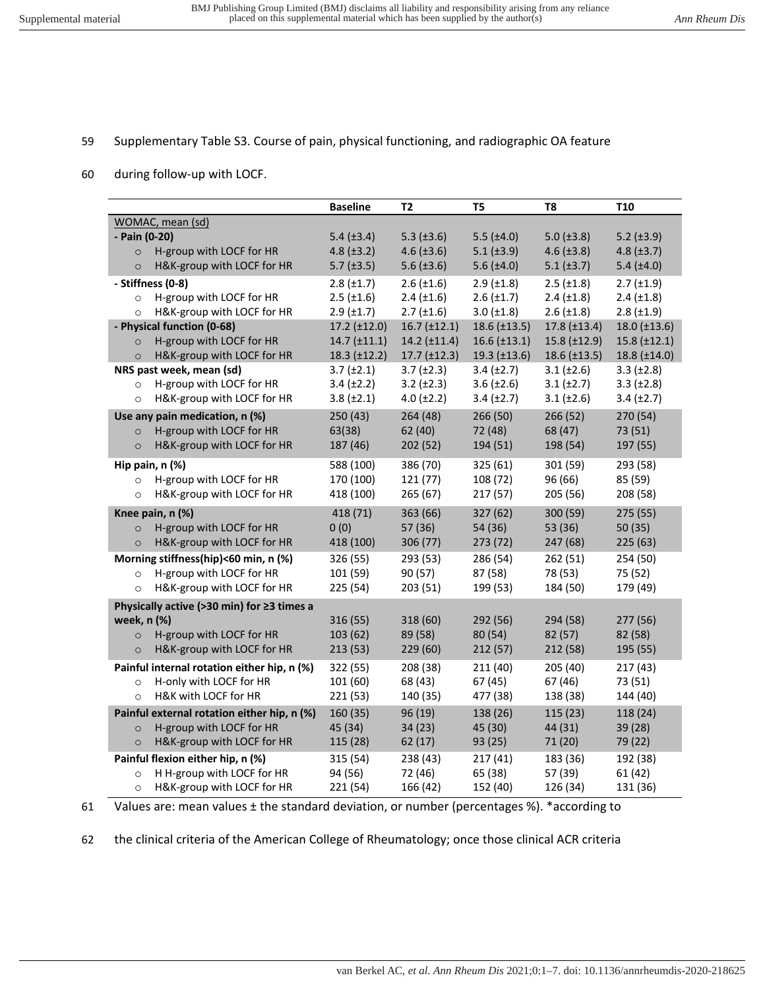## 59 Supplementary Table S3. Course of pain, physical functioning, and radiographic OA feature

60 during follow-up with LOCF.

|                                             | <b>Baseline</b>     | T <sub>2</sub>       | T <sub>5</sub>       | T8                   | T <sub>10</sub>     |
|---------------------------------------------|---------------------|----------------------|----------------------|----------------------|---------------------|
| WOMAC, mean (sd)                            |                     |                      |                      |                      |                     |
| - Pain (0-20)                               | 5.4 $(\pm 3.4)$     | 5.3 $(\pm 3.6)$      | $5.5$ ( $\pm 4.0$ )  | $5.0$ ( $\pm 3.8$ )  | $5.2$ ( $\pm 3.9$ ) |
| H-group with LOCF for HR<br>$\circ$         | $4.8 (\pm 3.2)$     | $4.6 \ (\pm 3.6)$    | $5.1 (\pm 3.9)$      | $4.6 \ (\pm 3.8)$    | $4.8 (\pm 3.7)$     |
| H&K-group with LOCF for HR<br>$\circ$       | $5.7$ ( $\pm 3.5$ ) | $5.6 \ (\pm 3.6)$    | $5.6$ ( $\pm 4.0$ )  | $5.1 (\pm 3.7)$      | $5.4 (\pm4.0)$      |
| - Stiffness (0-8)                           | $2.8 \ (\pm 1.7)$   | $2.6 \ (\pm 1.6)$    | $2.9$ ( $\pm 1.8$ )  | $2.5$ ( $\pm$ 1.8)   | $2.7$ ( $\pm$ 1.9)  |
| H-group with LOCF for HR<br>$\circ$         | $2.5$ ( $\pm 1.6$ ) | $2.4 (\pm 1.6)$      | $2.6 \, (\pm 1.7)$   | $2.4 \ (\pm 1.8)$    | $2.4$ ( $\pm$ 1.8)  |
| H&K-group with LOCF for HR<br>$\circ$       | $2.9$ ( $\pm$ 1.7)  | $2.7 (\pm 1.6)$      | $3.0 (\pm 1.8)$      | $2.6 \ (\pm 1.8)$    | $2.8 (\pm 1.9)$     |
| - Physical function (0-68)                  | 17.2 (±12.0)        | $16.7 \ (\pm 12.1)$  | $18.6 \, (\pm 13.5)$ | $17.8 \ (\pm 13.4)$  | 18.0 (±13.6)        |
| H-group with LOCF for HR<br>$\circ$         | 14.7 (±11.1)        | $14.2$ ( $\pm$ 11.4) | $16.6 \, (\pm 13.1)$ | 15.8 (±12.9)         | $15.8 \ (\pm 12.1)$ |
| H&K-group with LOCF for HR<br>$\circ$       | 18.3 (±12.2)        | $17.7 \ (\pm 12.3)$  | $19.3$ (±13.6)       | $18.6 \, (\pm 13.5)$ | 18.8 (±14.0)        |
| NRS past week, mean (sd)                    | $3.7 (\pm 2.1)$     | $3.7 (\pm 2.3)$      | $3.4 (\pm 2.7)$      | $3.1 (\pm 2.6)$      | $3.3 (\pm 2.8)$     |
| H-group with LOCF for HR<br>$\circ$         | $3.4 (\pm 2.2)$     | $3.2 \ (\pm 2.3)$    | $3.6 (\pm 2.6)$      | $3.1 (\pm 2.7)$      | $3.3 \ (\pm 2.8)$   |
| H&K-group with LOCF for HR<br>$\circ$       | $3.8 (\pm 2.1)$     | $4.0 (\pm 2.2)$      | $3.4 (\pm 2.7)$      | $3.1 (\pm 2.6)$      | $3.4 (\pm 2.7)$     |
| Use any pain medication, n (%)              | 250 (43)            | 264 (48)             | 266 (50)             | 266 (52)             | 270 (54)            |
| H-group with LOCF for HR<br>$\circ$         | 63(38)              | 62 (40)              | 72 (48)              | 68 (47)              | 73 (51)             |
| H&K-group with LOCF for HR<br>$\circ$       | 187 (46)            | 202 (52)             | 194 (51)             | 198 (54)             | 197 (55)            |
| Hip pain, n (%)                             | 588 (100)           | 386 (70)             | 325 (61)             | 301 (59)             | 293 (58)            |
| H-group with LOCF for HR<br>$\circ$         | 170 (100)           | 121(77)              | 108 (72)             | 96 (66)              | 85 (59)             |
| H&K-group with LOCF for HR<br>$\circ$       | 418 (100)           | 265(67)              | 217(57)              | 205 (56)             | 208 (58)            |
| Knee pain, n (%)                            | 418 (71)            | 363 (66)             | 327 (62)             | 300 (59)             | 275(55)             |
| H-group with LOCF for HR<br>$\circ$         | 0(0)                | 57 (36)              | 54 (36)              | 53 (36)              | 50(35)              |
| H&K-group with LOCF for HR<br>$\circ$       | 418 (100)           | 306 (77)             | 273 (72)             | 247 (68)             | 225(63)             |
| Morning stiffness(hip)<60 min, n (%)        | 326 (55)            | 293 (53)             | 286 (54)             | 262 (51)             | 254 (50)            |
| H-group with LOCF for HR<br>$\circ$         | 101 (59)            | 90 (57)              | 87 (58)              | 78 (53)              | 75 (52)             |
| H&K-group with LOCF for HR<br>$\circ$       | 225 (54)            | 203(51)              | 199 (53)             | 184 (50)             | 179 (49)            |
| Physically active (>30 min) for ≥3 times a  |                     |                      |                      |                      |                     |
| week, n (%)                                 | 316 (55)            | 318 (60)             | 292 (56)             | 294 (58)             | 277 (56)            |
| H-group with LOCF for HR<br>$\circ$         | 103 (62)            | 89 (58)              | 80 (54)              | 82 (57)              | 82 (58)             |
| H&K-group with LOCF for HR<br>$\circ$       | 213(53)             | 229(60)              | 212(57)              | 212 (58)             | 195 (55)            |
| Painful internal rotation either hip, n (%) | 322 (55)            | 208 (38)             | 211 (40)             | 205 (40)             | 217(43)             |
| H-only with LOCF for HR<br>$\circ$          | 101 (60)            | 68 (43)              | 67(45)               | 67 (46)              | 73 (51)             |
| H&K with LOCF for HR<br>$\circ$             | 221 (53)            | 140 (35)             | 477 (38)             | 138 (38)             | 144 (40)            |
| Painful external rotation either hip, n (%) | 160 (35)            | 96 (19)              | 138 (26)             | 115(23)              | 118 (24)            |
| H-group with LOCF for HR<br>$\circ$         | 45 (34)             | 34(23)               | 45 (30)              | 44 (31)              | 39(28)              |
| H&K-group with LOCF for HR<br>$\circ$       | 115 (28)            | 62(17)               | 93 (25)              | 71 (20)              | 79 (22)             |
| Painful flexion either hip, n (%)           | 315 (54)            | 238 (43)             | 217(41)              | 183 (36)             | 192 (38)            |
| H H-group with LOCF for HR<br>$\circ$       | 94 (56)             | 72 (46)              | 65 (38)              | 57 (39)              | 61 (42)             |
| H&K-group with LOCF for HR<br>$\circ$       | 221 (54)            | 166 (42)             | 152 (40)             | 126 (34)             | 131 (36)            |

61 Values are: mean values ± the standard deviation, or number (percentages %). \*according to

62 the clinical criteria of the American College of Rheumatology; once those clinical ACR criteria